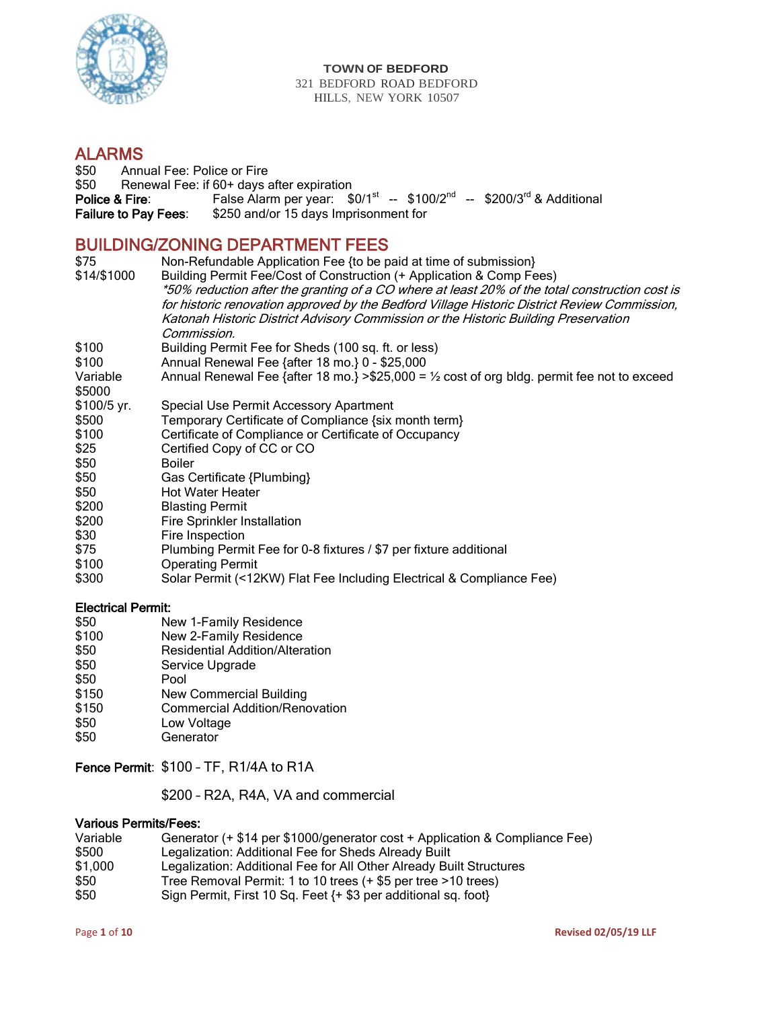

#### **TOWN OF BEDFORD** 321 BEDFORD ROAD BEDFORD HILLS, NEW YORK 10507

# **ALARMS**<br>\$50 Annu

\$50 Annual Fee: Police or Fire<br>\$50 Renewal Fee: if 60+ days a Renewal Fee: if 60+ days after expiration Police & Fire: False Alarm per year:  $$0/1<sup>st</sup> - $100/2<sup>nd</sup> - $200/3<sup>rd</sup>$  & Additional Failure to Pay Fees: \$250 and/or 15 days Imprisonment for

# BUILDING/ZONING DEPARTMENT FEES

| \$75<br>\$14/\$1000 | Non-Refundable Application Fee {to be paid at time of submission}<br>Building Permit Fee/Cost of Construction (+ Application & Comp Fees)                                                                                                                                                            |
|---------------------|------------------------------------------------------------------------------------------------------------------------------------------------------------------------------------------------------------------------------------------------------------------------------------------------------|
|                     | *50% reduction after the granting of a CO where at least 20% of the total construction cost is<br>for historic renovation approved by the Bedford Village Historic District Review Commission,<br>Katonah Historic District Advisory Commission or the Historic Building Preservation<br>Commission. |
| \$100               | Building Permit Fee for Sheds (100 sq. ft. or less)                                                                                                                                                                                                                                                  |
| \$100               | Annual Renewal Fee {after 18 mo.} 0 - \$25,000                                                                                                                                                                                                                                                       |
| Variable<br>\$5000  | Annual Renewal Fee {after 18 mo.} > \$25,000 = $\frac{1}{2}$ cost of org bldg. permit fee not to exceed                                                                                                                                                                                              |
| \$100/5 yr.         | Special Use Permit Accessory Apartment                                                                                                                                                                                                                                                               |
| \$500               | Temporary Certificate of Compliance {six month term}                                                                                                                                                                                                                                                 |
| \$100               | Certificate of Compliance or Certificate of Occupancy                                                                                                                                                                                                                                                |
| \$25                | Certified Copy of CC or CO                                                                                                                                                                                                                                                                           |
| \$50                | Boiler                                                                                                                                                                                                                                                                                               |
| \$50                | Gas Certificate {Plumbing}                                                                                                                                                                                                                                                                           |
| \$50                | <b>Hot Water Heater</b>                                                                                                                                                                                                                                                                              |
| \$200               | <b>Blasting Permit</b>                                                                                                                                                                                                                                                                               |
| \$200               | <b>Fire Sprinkler Installation</b>                                                                                                                                                                                                                                                                   |
| \$30                | Fire Inspection                                                                                                                                                                                                                                                                                      |
| \$75                | Plumbing Permit Fee for 0-8 fixtures / \$7 per fixture additional                                                                                                                                                                                                                                    |
| \$100               | <b>Operating Permit</b>                                                                                                                                                                                                                                                                              |
| \$300               | Solar Permit (<12KW) Flat Fee Including Electrical & Compliance Fee)                                                                                                                                                                                                                                 |

#### Electrical Permit:

- \$50 **New 1-Family Residence**<br>\$100 **New 2-Family Residence**
- New 2-Family Residence
- \$50 Residential Addition/Alteration<br>\$50 Service Upgrade
- \$50 Service Upgrade<br>\$50 Pool
- \$50 Pool<br>\$150 New
- \$150 New Commercial Building<br>\$150 Commercial Addition/Reno
- \$150 Commercial Addition/Renovation<br>\$50 Low Voltage
- \$50 Low Voltage<br>\$50 Generator
- Generator

### Fence Permit: \$100 – TF, R1/4A to R1A

\$200 – R2A, R4A, VA and commercial

#### Various Permits/Fees:

| Variable | Generator (+ \$14 per \$1000/generator cost + Application & Compliance Fee) |
|----------|-----------------------------------------------------------------------------|
| \$500    | Legalization: Additional Fee for Sheds Already Built                        |
| \$1,000  | Legalization: Additional Fee for All Other Already Built Structures         |
| \$50     | Tree Removal Permit: 1 to 10 trees (+ \$5 per tree > 10 trees)              |
| \$50     | Sign Permit, First 10 Sq. Feet {+ \$3 per additional sq. foot}              |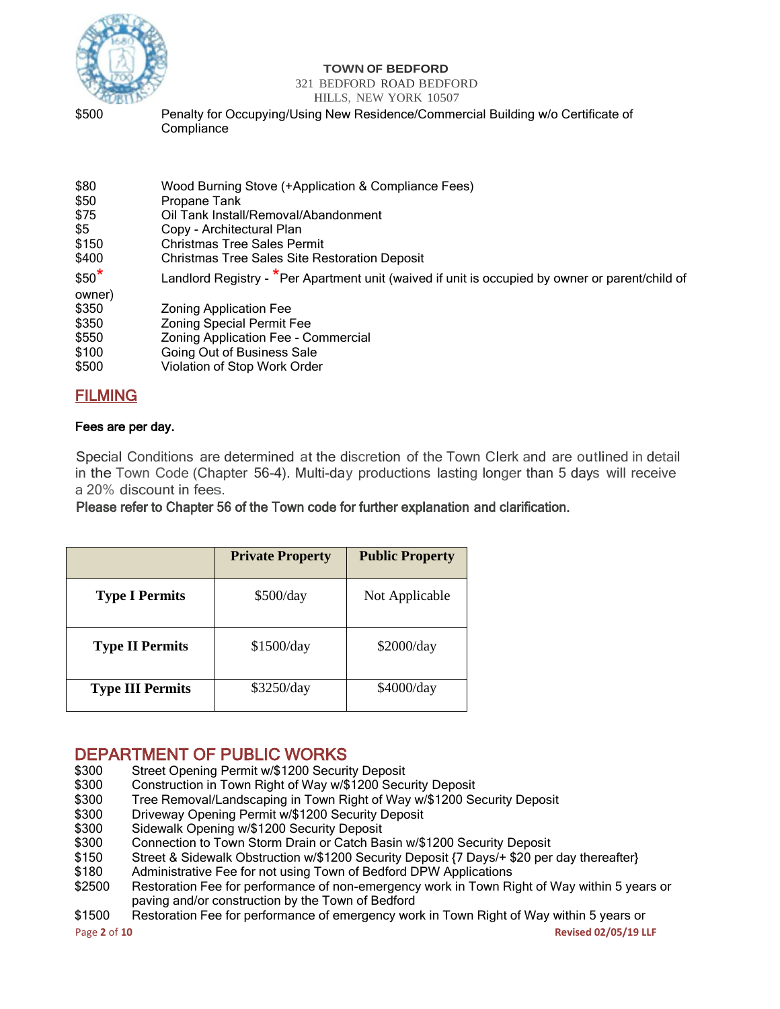

#### **TOWN OF BEDFORD**

321 BEDFORD ROAD BEDFORD

## HILLS, NEW YORK 10507

\$500 Penalty for Occupying/Using New Residence/Commercial Building w/o Certificate of **Compliance** 

| Landlord Registry - <sup>*</sup> Per Apartment unit (waived if unit is occupied by owner or parent/child of |
|-------------------------------------------------------------------------------------------------------------|
|                                                                                                             |
|                                                                                                             |
|                                                                                                             |
|                                                                                                             |
|                                                                                                             |
|                                                                                                             |
|                                                                                                             |

# FILMING

## Fees are per day.

Special Conditions are determined at the discretion of the Town Clerk and are outlined in detail in the Town Code (Chapter 56-4). Multi-day productions lasting longer than 5 days will receive a 20% discount in fees.

Please refer to Chapter 56 of the Town code for further explanation and clarification.

|                         | <b>Private Property</b> | <b>Public Property</b> |
|-------------------------|-------------------------|------------------------|
| <b>Type I Permits</b>   | \$500/day               | Not Applicable         |
| <b>Type II Permits</b>  | \$1500/day              | \$2000/day             |
| <b>Type III Permits</b> | \$3250/day              | \$4000/day             |

# **DEPARTMENT OF PUBLIC WORKS**<br>\$300 Street Opening Permit w/\$1200 Securi

- \$300 Street Opening Permit w/\$1200 Security Deposit<br>\$300 Construction in Town Right of Way w/\$1200 Secu
- \$300 Construction in Town Right of Way w/\$1200 Security Deposit<br>\$300 Free Removal/Landscaping in Town Right of Way w/\$1200 Se
- \$300 Tree Removal/Landscaping in Town Right of Way w/\$1200 Security Deposit<br>\$300 Driveway Opening Permit w/\$1200 Security Deposit
- \$300 Driveway Opening Permit w/\$1200 Security Deposit<br>\$300 Sidewalk Opening w/\$1200 Security Deposit
- \$300 Sidewalk Opening w/\$1200 Security Deposit
- Connection to Town Storm Drain or Catch Basin w/\$1200 Security Deposit
- \$150 Street & Sidewalk Obstruction w/\$1200 Security Deposit {7 Days/+ \$20 per day thereafter}
- \$180 Administrative Fee for not using Town of Bedford DPW Applications
- \$2500 Restoration Fee for performance of non-emergency work in Town Right of Way within 5 years or paving and/or construction by the Town of Bedford
- \$1500 Restoration Fee for performance of emergency work in Town Right of Way within 5 years or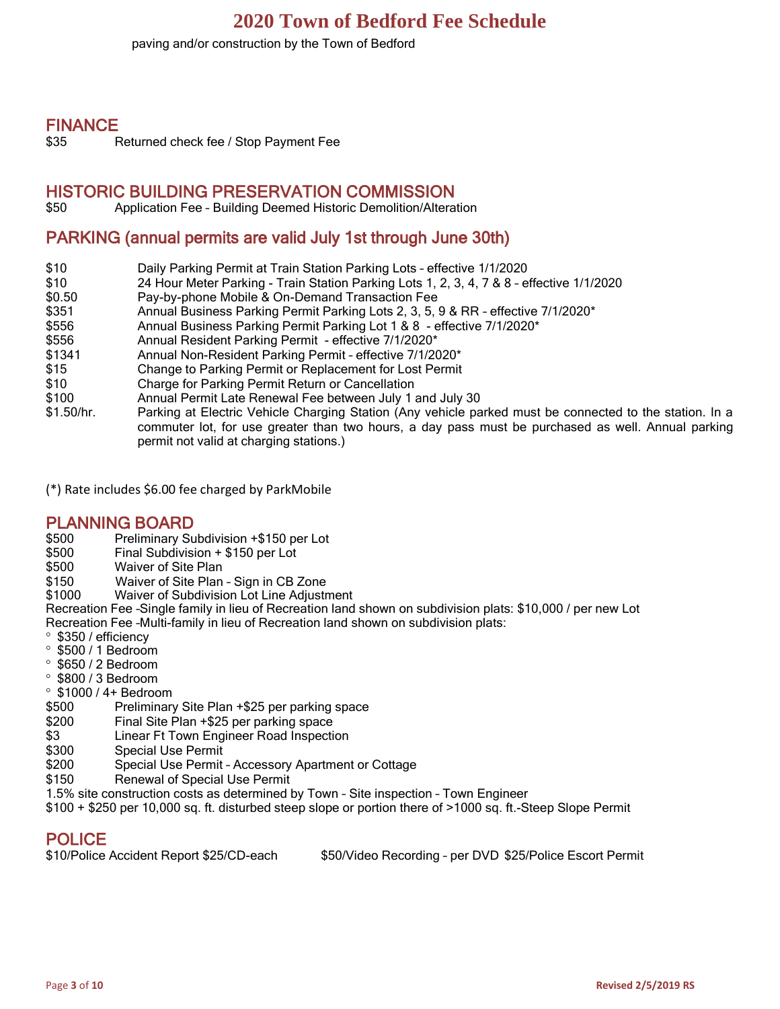paving and/or construction by the Town of Bedford

# FINANCE

\$35 Returned check fee / Stop Payment Fee

# HISTORIC BUILDING PRESERVATION COMMISSION

\$50 Application Fee – Building Deemed Historic Demolition/Alteration

# PARKING (annual permits are valid July 1st through June 30th)

- \$10 Daily Parking Permit at Train Station Parking Lots effective 1/1/2020
- \$10 24 Hour Meter Parking Train Station Parking Lots 1, 2, 3, 4, 7 & 8 effective 1/1/2020
- \$0.50 Pay-by-phone Mobile & On-Demand Transaction Fee
- \$351 Annual Business Parking Permit Parking Lots 2, 3, 5, 9 & RR effective 7/1/2020<sup>\*</sup>
- \$556 Annual Business Parking Permit Parking Lot 1 & 8 effective 7/1/2020\*
- \$556 Annual Resident Parking Permit effective 7/1/2020\*
- \$1341 Annual Non-Resident Parking Permit effective 7/1/2020\*
- \$15 Change to Parking Permit or Replacement for Lost Permit
- \$10 Charge for Parking Permit Return or Cancellation
- \$100 Annual Permit Late Renewal Fee between July 1 and July 30
- \$1.50/hr. Parking at Electric Vehicle Charging Station (Any vehicle parked must be connected to the station. In a commuter lot, for use greater than two hours, a day pass must be purchased as well. Annual parking permit not valid at charging stations.)

(\*) Rate includes \$6.00 fee charged by ParkMobile

## PLANNING BOARD

- \$500 Preliminary Subdivision +\$150 per Lot
- $Final$  Subdivision + \$150 per Lot
- \$500 Waiver of Site Plan
- \$150 Waiver of Site Plan Sign in CB Zone
- \$1000 Waiver of Subdivision Lot Line Adjustment

Recreation Fee –Single family in lieu of Recreation land shown on subdivision plats: \$10,000 / per new Lot Recreation Fee –Multi-family in lieu of Recreation land shown on subdivision plats:

- \$350 / efficiency
- $\degree$  \$500 / 1 Bedroom
- $\degree$  \$650 / 2 Bedroom
- $\degree$  \$800 / 3 Bedroom
- $\degree$  \$1000 / 4+ Bedroom
- \$500 Preliminary Site Plan +\$25 per parking space
- \$200 Final Site Plan +\$25 per parking space
- \$3 Linear Ft Town Engineer Road Inspection
- \$300 Special Use Permit
- \$200 Special Use Permit Accessory Apartment or Cottage
- \$150 Renewal of Special Use Permit
- 1.5% site construction costs as determined by Town Site inspection Town Engineer
- \$100 + \$250 per 10,000 sq. ft. disturbed steep slope or portion there of >1000 sq. ft.-Steep Slope Permit

# POLICE

| \$10/Police Accident Report \$25/CD-each | \$50/Video Recording - per DVD \$25/Police Escort Permit |
|------------------------------------------|----------------------------------------------------------|
|------------------------------------------|----------------------------------------------------------|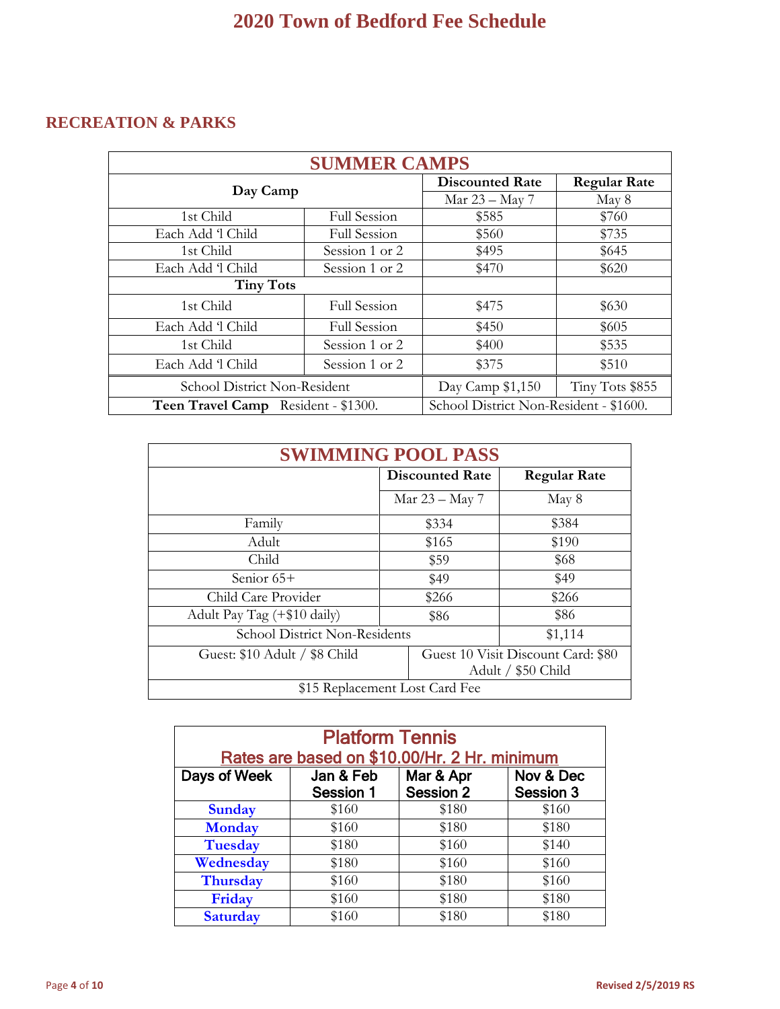# **RECREATION & PARKS**

| <b>SUMMER CAMPS</b>                 |                     |                                        |                     |
|-------------------------------------|---------------------|----------------------------------------|---------------------|
|                                     |                     | <b>Discounted Rate</b>                 | <b>Regular Rate</b> |
|                                     | Day Camp            |                                        | May 8               |
| 1st Child                           | Full Session        | \$585                                  | \$760               |
| Each Add 1 Child                    | <b>Full Session</b> | \$560                                  | \$735               |
| 1st Child                           | Session 1 or 2      | \$495                                  | \$645               |
| Each Add 1 Child                    | Session 1 or 2      | \$470                                  | \$620               |
| <b>Tiny Tots</b>                    |                     |                                        |                     |
| 1st Child                           | <b>Full Session</b> | \$475                                  | \$630               |
| Each Add 1 Child                    | <b>Full Session</b> | \$450                                  | \$605               |
| 1st Child                           | Session 1 or 2      | \$400                                  | \$535               |
| Each Add 1 Child                    | Session 1 or 2      | \$375                                  | \$510               |
| School District Non-Resident        |                     | Day Camp \$1,150                       | Tiny Tots \$855     |
| Teen Travel Camp Resident - \$1300. |                     | School District Non-Resident - \$1600. |                     |

| <b>SWIMMING POOL PASS</b>                |                        |                                                          |  |  |
|------------------------------------------|------------------------|----------------------------------------------------------|--|--|
|                                          | <b>Discounted Rate</b> | <b>Regular Rate</b>                                      |  |  |
|                                          | Mar 23 – May 7         | May 8                                                    |  |  |
| Family                                   | \$334                  | \$384                                                    |  |  |
| Adult                                    | \$165                  | \$190                                                    |  |  |
| Child                                    | \$59                   | \$68                                                     |  |  |
| Senior 65+                               | \$49                   | \$49                                                     |  |  |
| Child Care Provider                      | \$266                  | \$266                                                    |  |  |
| Adult Pay Tag (+\$10 daily)              | \$86                   | \$86                                                     |  |  |
| School District Non-Residents<br>\$1,114 |                        |                                                          |  |  |
| Guest: \$10 Adult / \$8 Child            |                        | Guest 10 Visit Discount Card: \$80<br>Adult / \$50 Child |  |  |
| \$15 Replacement Lost Card Fee           |                        |                                                          |  |  |

| <b>Platform Tennis</b>                              |                                              |                  |                  |  |  |
|-----------------------------------------------------|----------------------------------------------|------------------|------------------|--|--|
|                                                     | Rates are based on \$10.00/Hr. 2 Hr. minimum |                  |                  |  |  |
| Days of Week<br>Mar & Apr<br>Nov & Dec<br>Jan & Feb |                                              |                  |                  |  |  |
|                                                     | <b>Session 1</b>                             | <b>Session 2</b> | <b>Session 3</b> |  |  |
| <b>Sunday</b>                                       | \$160                                        | \$180            | \$160            |  |  |
| <b>Monday</b>                                       | \$160                                        | \$180            | \$180            |  |  |
| <b>Tuesday</b>                                      | \$180                                        | \$160            | \$140            |  |  |
| Wednesday                                           | \$180                                        | \$160            | \$160            |  |  |
| <b>Thursday</b>                                     | \$160                                        | \$180            | \$160            |  |  |
| Friday                                              | \$160                                        | \$180            | \$180            |  |  |
| <b>Saturday</b>                                     | \$160                                        | \$180            | \$180            |  |  |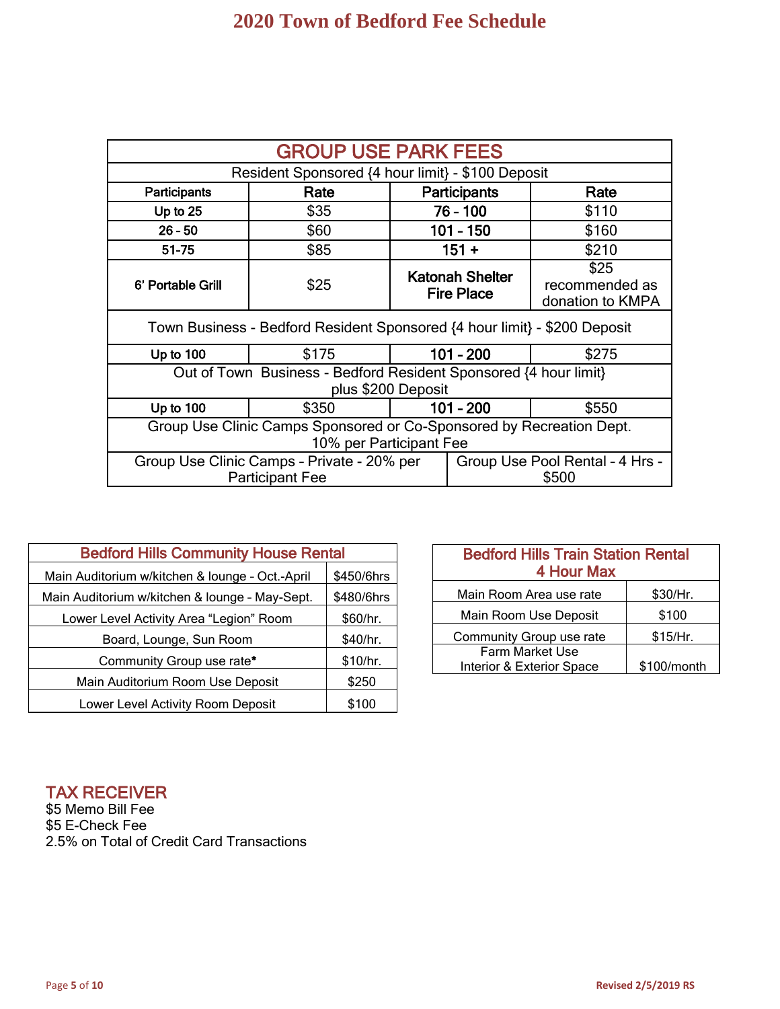| <b>GROUP USE PARK FEES</b>                                                                                       |                                                                           |  |                                             |                                            |
|------------------------------------------------------------------------------------------------------------------|---------------------------------------------------------------------------|--|---------------------------------------------|--------------------------------------------|
|                                                                                                                  | Resident Sponsored {4 hour limit} - \$100 Deposit                         |  |                                             |                                            |
| Participants                                                                                                     | Rate                                                                      |  | <b>Participants</b>                         | Rate                                       |
| Up to $25$                                                                                                       | \$35                                                                      |  | $76 - 100$                                  | \$110                                      |
| $26 - 50$                                                                                                        | \$60                                                                      |  | $101 - 150$                                 | \$160                                      |
| 51-75                                                                                                            | \$85                                                                      |  | $151 +$                                     | \$210                                      |
| 6' Portable Grill                                                                                                | \$25                                                                      |  | <b>Katonah Shelter</b><br><b>Fire Place</b> | \$25<br>recommended as<br>donation to KMPA |
|                                                                                                                  | Town Business - Bedford Resident Sponsored {4 hour limit} - \$200 Deposit |  |                                             |                                            |
| Up to $100$                                                                                                      | \$175                                                                     |  | $101 - 200$                                 | \$275                                      |
| Out of Town Business - Bedford Resident Sponsored {4 hour limit}<br>plus \$200 Deposit                           |                                                                           |  |                                             |                                            |
| Up to 100                                                                                                        | \$350                                                                     |  | $101 - 200$                                 | \$550                                      |
| Group Use Clinic Camps Sponsored or Co-Sponsored by Recreation Dept.<br>10% per Participant Fee                  |                                                                           |  |                                             |                                            |
| Group Use Clinic Camps - Private - 20% per<br>Group Use Pool Rental - 4 Hrs -<br>\$500<br><b>Participant Fee</b> |                                                                           |  |                                             |                                            |

| <b>Bedford Hills Community House Rental</b>                  |            |  |
|--------------------------------------------------------------|------------|--|
| Main Auditorium w/kitchen & lounge - Oct.-April              | \$450/6hrs |  |
| \$480/6hrs<br>Main Auditorium w/kitchen & lounge - May-Sept. |            |  |
| Lower Level Activity Area "Legion" Room                      | \$60/hr.   |  |
| Board, Lounge, Sun Room                                      | \$40/hr.   |  |
| Community Group use rate*                                    | \$10/hr.   |  |
| Main Auditorium Room Use Deposit                             | \$250      |  |
| Lower Level Activity Room Deposit<br>\$100                   |            |  |

| <b>Bedford Hills Train Station Rental</b><br>4 Hour Max     |          |  |  |
|-------------------------------------------------------------|----------|--|--|
| Main Room Area use rate                                     | \$30/Hr. |  |  |
| Main Room Use Deposit                                       | \$100    |  |  |
| Community Group use rate                                    | \$15/Hr. |  |  |
| Farm Market Use<br>Interior & Exterior Space<br>\$100/month |          |  |  |

# TAX RECEIVER

\$5 Memo Bill Fee \$5 E-Check Fee 2.5% on Total of Credit Card Transactions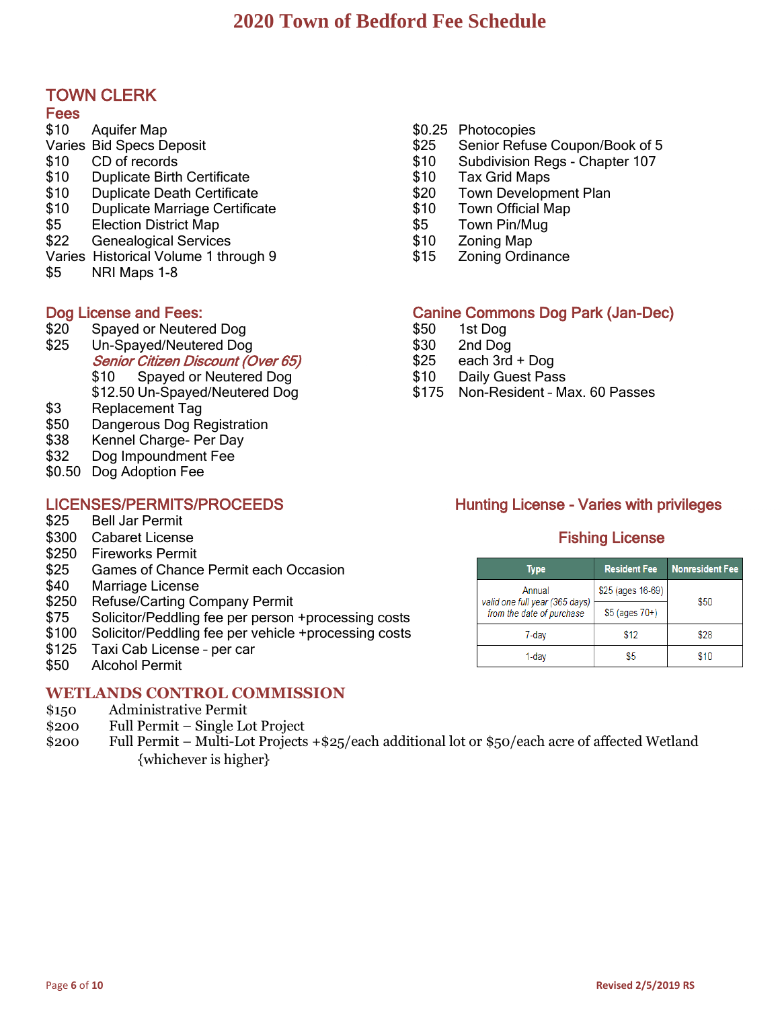# TOWN CLERK

## Fees

- \$10 Aquifer Map
- Varies Bid Specs Deposit
- \$10 CD of records
- \$10 Duplicate Birth Certificate
- \$10 Duplicate Death Certificate
- \$10 Duplicate Marriage Certificate
- \$5 Election District Map
- \$22 Genealogical Services
- Varies Historical Volume 1 through 9
- \$5 NRI Maps 1-8

- 
- % \$20 Spayed or Neutered Dog \$50 1st Dog \$50 \$50 1st Dog<br>\$25 Un-Spayed/Neutered Dog \$30 2nd Dog Un-Spayed/Neutered Dog \$30 2nd Dog Senior Citizen Discount (Over 65) \$25 each 3rd + Dog \$10 Spayed or Neutered Dog 510 Baily Guest Pass
- \$3 Replacement Tag
- \$50 Dangerous Dog Registration
- \$38 Kennel Charge- Per Day
- \$32 Dog Impoundment Fee
- \$0.50 Dog Adoption Fee

- **Bell Jar Permit**
- \$300 Cabaret License Fishing License Fishing License
- \$250 Fireworks Permit
- \$25 Games of Chance Permit each Occasion
- \$40 Marriage License
- \$250 Refuse/Carting Company Permit
- \$75 Solicitor/Peddling fee per person +processing costs
- \$100 Solicitor/Peddling fee per vehicle +processing costs
- \$125 Taxi Cab License per car
- \$50 Alcohol Permit Ĭ

# **WETLANDS CONTROL COMMISSION**

- \$150 Administrative Permit
- \$200 Full Permit Single Lot Project
- \$200 Full Permit Multi-Lot Projects +\$25/each additional lot or \$50/each acre of affected Wetland {whichever is higher}

## \$0.25 Photocopies

- \$25 Senior Refuse Coupon/Book of 5
- \$10 Subdivision Regs Chapter 107
- \$10 Tax Grid Maps
- \$20 Town Development Plan
- \$10 Town Official Map
- \$5 Town Pin/Mug
- \$10 Zoning Map
- \$15 Zoning Ordinance

# Dog License and Fees: Canine Commons Dog Park (Jan-Dec)

- 
- 
- 
- 
- \$12.50 Un-Spayed/Neutered Dog \$175 Non-Resident Max. 60 Passes

# LICENSES/PERMITS/PROCEEDS<br>
\$25 Bell Jar Permit<br>
\$25 Bell Jar Permit

| Type                                                        | <b>Resident Fee</b> | <b>Nonresident Fee</b> |
|-------------------------------------------------------------|---------------------|------------------------|
| Annual                                                      | \$25 (ages 16-69)   | \$50                   |
| valid one full year (365 days)<br>from the date of purchase | $$5$ (ages $70+$ )  |                        |
| 7-dav                                                       | \$12                | \$28                   |
|                                                             | 85                  | \$10                   |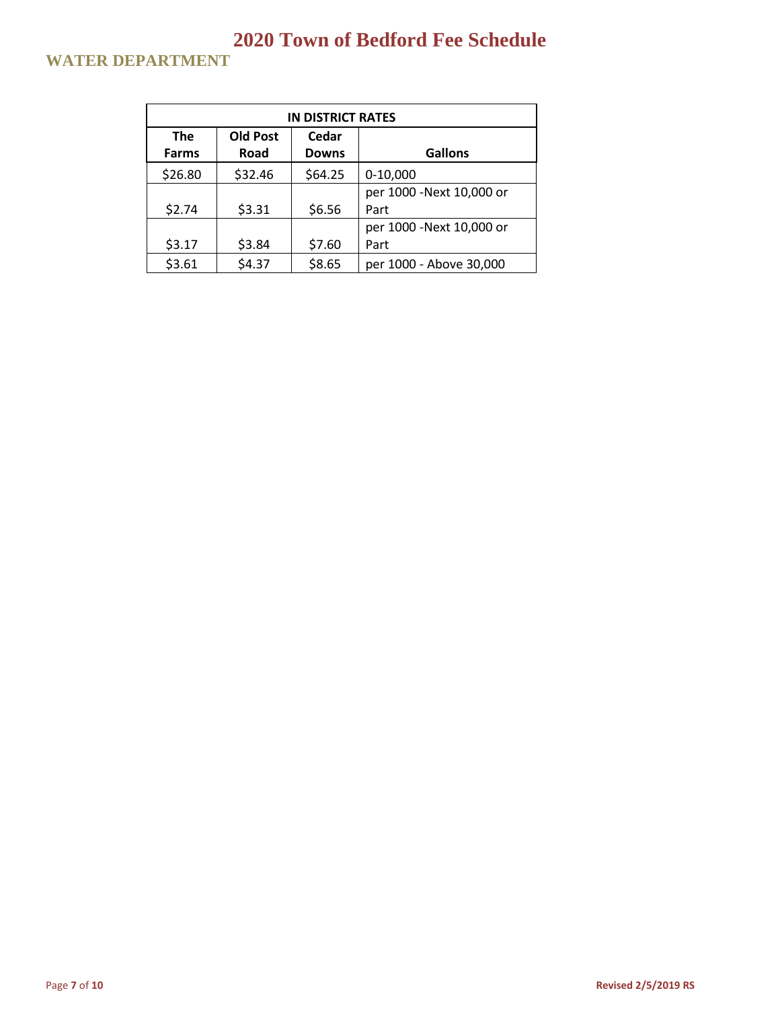# **WATER DEPARTMENT**

| <b>IN DISTRICT RATES</b> |                 |              |                           |
|--------------------------|-----------------|--------------|---------------------------|
| <b>The</b>               | <b>Old Post</b> | Cedar        |                           |
| <b>Farms</b>             | Road            | <b>Downs</b> | <b>Gallons</b>            |
| \$26.80                  | \$32.46         | \$64.25      | $0-10,000$                |
|                          |                 |              | per 1000 - Next 10,000 or |
| \$2.74                   | \$3.31          | \$6.56       | Part                      |
|                          |                 |              | per 1000 -Next 10,000 or  |
| \$3.17                   | \$3.84          | \$7.60       | Part                      |
| \$3.61                   | \$4.37          | \$8.65       | per 1000 - Above 30,000   |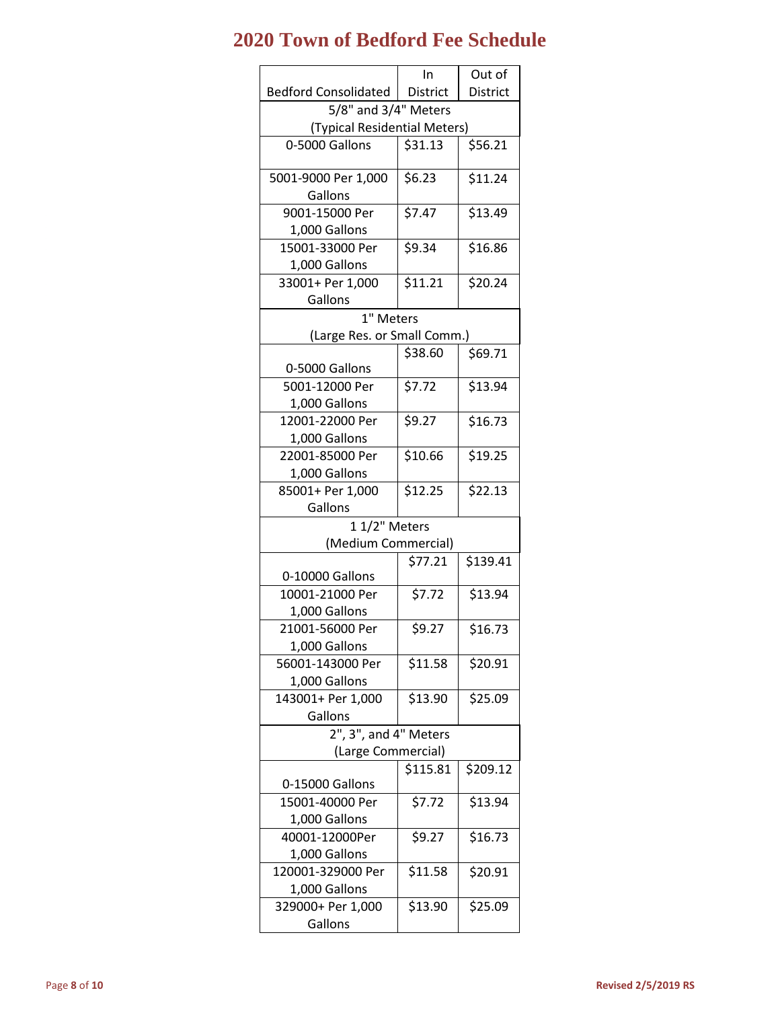|                                | In              | Out of          |
|--------------------------------|-----------------|-----------------|
| <b>Bedford Consolidated</b>    | <b>District</b> | District        |
| 5/8" and 3/4" Meters           |                 |                 |
| (Typical Residential Meters)   |                 |                 |
| 0-5000 Gallons                 | \$31.13         | \$56.21         |
| 5001-9000 Per 1,000<br>Gallons | \$6.23          | $\sqrt{511.24}$ |
| 9001-15000 Per                 | \$7.47          | \$13.49         |
| 1,000 Gallons                  |                 |                 |
| 15001-33000 Per                | \$9.34          | \$16.86         |
| 1,000 Gallons                  |                 |                 |
| 33001+ Per 1,000               | \$11.21         | \$20.24         |
| Gallons                        |                 |                 |
| 1" Meters                      |                 |                 |
| (Large Res. or Small Comm.)    |                 |                 |
|                                | \$38.60         | \$69.71         |
| 0-5000 Gallons                 |                 |                 |
| 5001-12000 Per                 | \$7.72          | \$13.94         |
| 1,000 Gallons                  |                 |                 |
| 12001-22000 Per                | \$9.27          | \$16.73         |
| 1,000 Gallons                  |                 |                 |
| 22001-85000 Per                | \$10.66         | \$19.25         |
| 1,000 Gallons                  |                 |                 |
| 85001+ Per 1,000               | \$12.25         | \$22.13         |
| Gallons                        |                 |                 |
| 11/2" Meters                   |                 |                 |
| (Medium Commercial)            |                 |                 |
|                                | \$77.21         | \$139.41        |
| 0-10000 Gallons                |                 |                 |
| 10001-21000 Per                | \$7.72          | \$13.94         |
| 1,000 Gallons                  |                 |                 |
| 21001-56000 Per                | \$9.27          | \$16.73         |
| 1,000 Gallons                  |                 |                 |
| 56001-143000 Per               | \$11.58         | \$20.91         |
| 1,000 Gallons                  | \$13.90         |                 |
| 143001+ Per 1,000<br>Gallons   |                 | \$25.09         |
| $2$ ", $3$ ", and $4$ " Meters |                 |                 |
|                                |                 |                 |
| (Large Commercial)             | \$115.81        | \$209.12        |
| 0-15000 Gallons                |                 |                 |
| 15001-40000 Per                | \$7.72          | \$13.94         |
| 1,000 Gallons                  |                 |                 |
| 40001-12000Per                 | \$9.27          | \$16.73         |
| 1,000 Gallons                  |                 |                 |
| 120001-329000 Per              | \$11.58         | \$20.91         |
| 1,000 Gallons                  |                 |                 |
| 329000+ Per 1,000              | \$13.90         | \$25.09         |
| Gallons                        |                 |                 |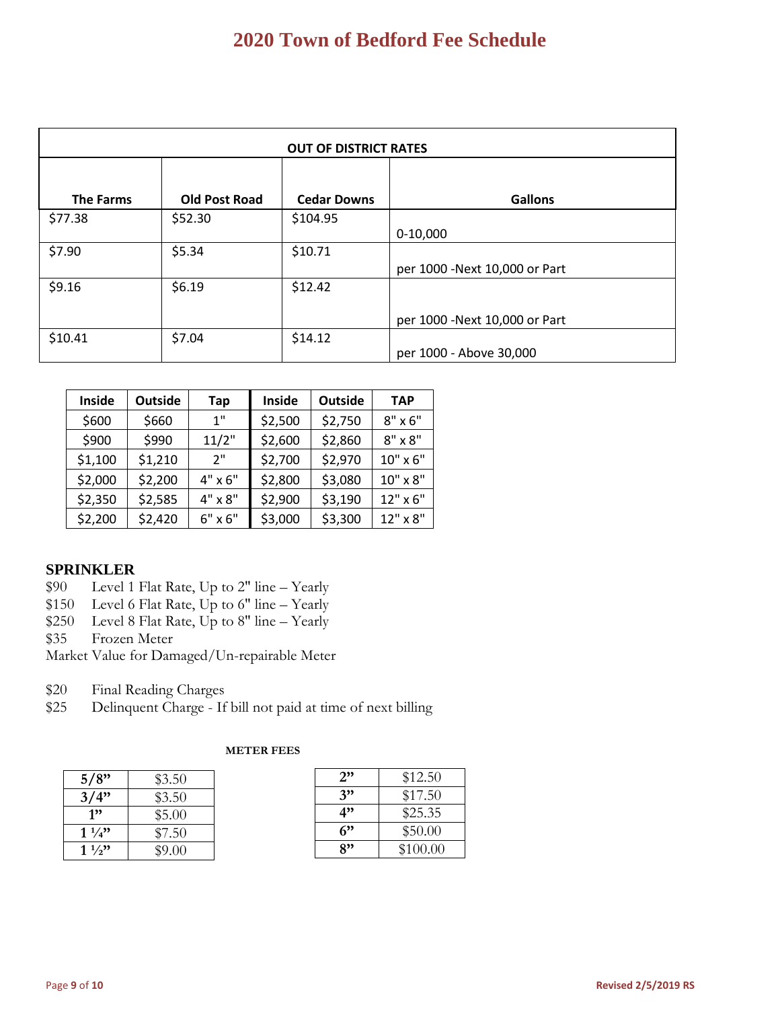| <b>OUT OF DISTRICT RATES</b> |                      |                    |                                |
|------------------------------|----------------------|--------------------|--------------------------------|
|                              |                      |                    |                                |
| <b>The Farms</b>             | <b>Old Post Road</b> | <b>Cedar Downs</b> | <b>Gallons</b>                 |
| \$77.38                      | \$52.30              | \$104.95           |                                |
|                              |                      |                    | $0-10,000$                     |
| \$7.90                       | \$5.34               | \$10.71            |                                |
|                              |                      |                    | per 1000 - Next 10,000 or Part |
| \$9.16                       | \$6.19               | \$12.42            |                                |
|                              |                      |                    |                                |
|                              |                      |                    | per 1000 - Next 10,000 or Part |
| \$10.41                      | \$7.04               | \$14.12            |                                |
|                              |                      |                    | per 1000 - Above 30,000        |

| Inside  | <b>Outside</b> | Tap            | Inside  | <b>Outside</b> | <b>TAP</b>     |
|---------|----------------|----------------|---------|----------------|----------------|
| \$600   | \$660          | 1"             | \$2,500 | \$2,750        | $8" \times 6"$ |
| \$900   | \$990          | 11/2"          | \$2,600 | \$2,860        | $8" \times 8"$ |
| \$1,100 | \$1,210        | 2"             | \$2,700 | \$2,970        | 10" x 6"       |
| \$2,000 | \$2,200        | $4" \times 6"$ | \$2,800 | \$3,080        | 10" x 8"       |
| \$2,350 | \$2,585        | 4" x 8"        | \$2,900 | \$3,190        | 12" x 6"       |
| \$2,200 | \$2,420        | $6" \times 6"$ | \$3,000 | \$3,300        | 12" x 8"       |

## **SPRINKLER**

- \$90 Level 1 Flat Rate, Up to 2" line Yearly
- \$150 Level 6 Flat Rate, Up to 6" line Yearly
- \$250 Level 8 Flat Rate, Up to 8" line Yearly
- \$35 Frozen Meter
- Market Value for Damaged/Un-repairable Meter
- \$20 Final Reading Charges
- \$25 Delinquent Charge If bill not paid at time of next billing

| 5/8"           | \$3.50 |
|----------------|--------|
| 3/4"           | \$3.50 |
| 1"             | \$5.00 |
| $1\frac{1}{4}$ | \$7.50 |
| $1\frac{1}{2}$ | \$9.00 |

### **METER FEES**

| 2" | \$12.50  |
|----|----------|
| 3" | \$17.50  |
| 4" | \$25.35  |
| ና" | \$50.00  |
| 8" | \$100.00 |